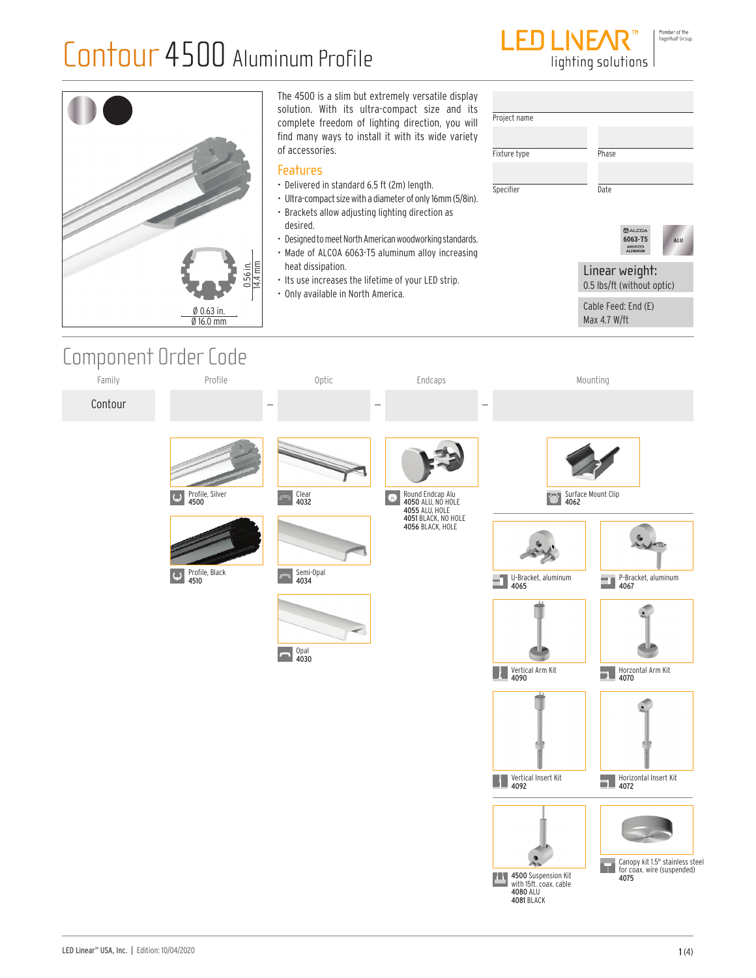

The 4500 is a slim but extremely versatile display solution. With its ultra-compact size and its Project name complete freedom of lighting direction, you will find many ways to install it with its wide variety of accessories. Fixture type Phase **Features** • Delivered in standard 6.5 ft (2m) length. Specifier Date • Ultra-compact size with a diameter of only 16mm (5/8in). • Brackets allow adjusting lighting direction as desired. **2**ALCOA<br>6063-T5 • Designed to meet North American woodworking standards. A11 ANODIZED<br>ALUMINUM • Made of ALCOA 6063-T5 aluminum alloy increasing 14.<br>أ heat dissipation. Linear weight: Component Order Code • Its use increases the lifetime of your LED strip. 0.5 lbs/ft (without optic) • Only available in North America. Cable Feed: End (E) Ø 0.63 in. Max 4.7 W/ft Ø 16.0 mmFamily Profile Optic Endcaps Mounting Contour Round Endcap Alu Profile, Silver 4500 Clear 4032 Surface Mount Clip 4062  $\bullet$ 4050 ALU, NO HOLE 4055 ALU, HOLE 4051 BLACK, NO HOLE 4056 BLACK, HOLE U-Bracket, aluminum Profile, Black 4510 Semi-Opal 4034 P-Bracket, aluminum 4067 4065 a Opal 4030 Vertical Arm Kit 4090 Horzontal Arm Kit 4070

LED Linear™ USA, Inc. | Edition: 10/04/2020 1 (4) 1 (4) 1 = 1 (4) 1 = 1 (4) 1 = 1 (4) + 1 = 1 (5) = 1 (4) + 1 = 1 (5) = 1 (5) + 1 (5) = 1 (5) + 1 (5) + 1 (5) + 1 (5) + 1 (5) + 1 (5) + 1 (5) + 1 (5) + 1 (5) + 1 (5) + 1 (5)

Canopy kit 1.5" stainless steel **Sundpy KIL 1.5" Stainless ste<br>for coax. wire (suspended)**<br>**4075** 

Horizontal Insert Kit 4072

4500 Suspension Kit<br>with 15ft. coax. cable

4080 ALU 4081 BLACK

ш

Vertical Insert Kit 4092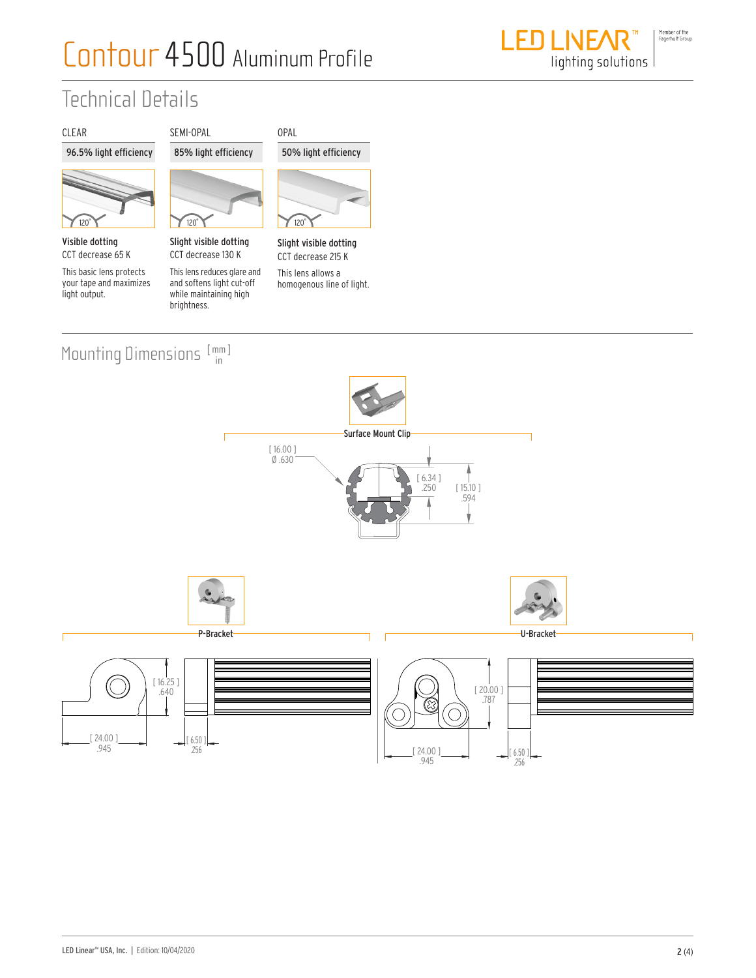

### Technical Details

### CLEAR 96.5% light efficiency



Visible dotting CCT decrease 65 K

This basic lens protects your tape and maximizes light output.



Slight visible dotting CCT decrease 130 K

This lens reduces glare and and softens light cut-off while maintaining high brightness.





Slight visible dotting CCT decrease 215 K This lens allows a

homogenous line of light.

#### Mounting Dimensions [mm] in



.945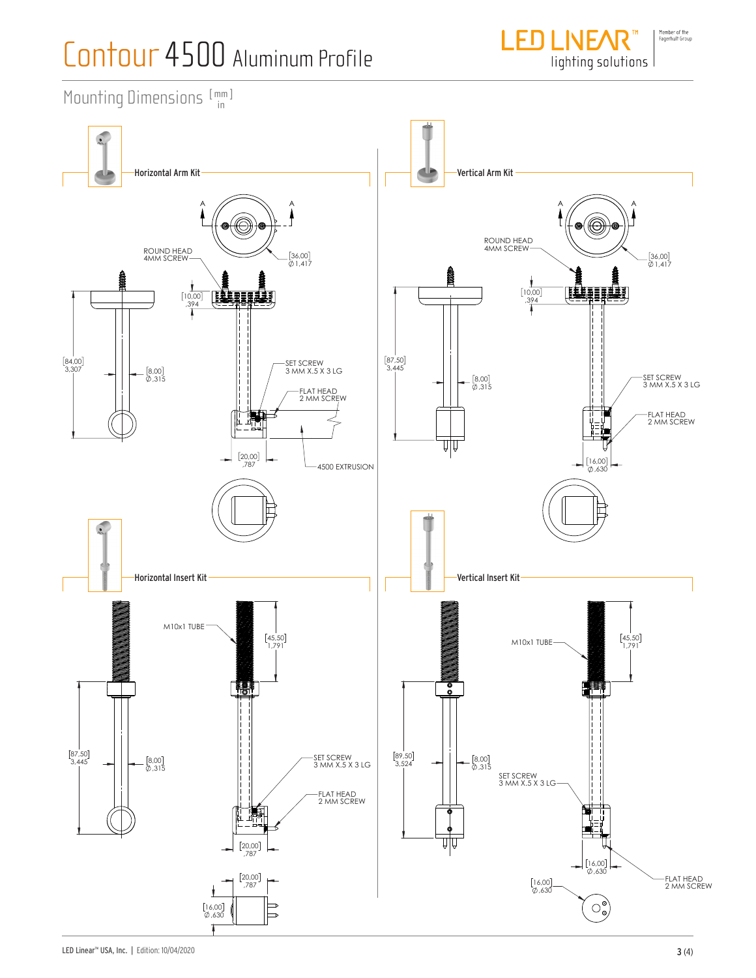

Mounting Dimensions  $[\begin{smallmatrix} mm \ m \end{smallmatrix}]$